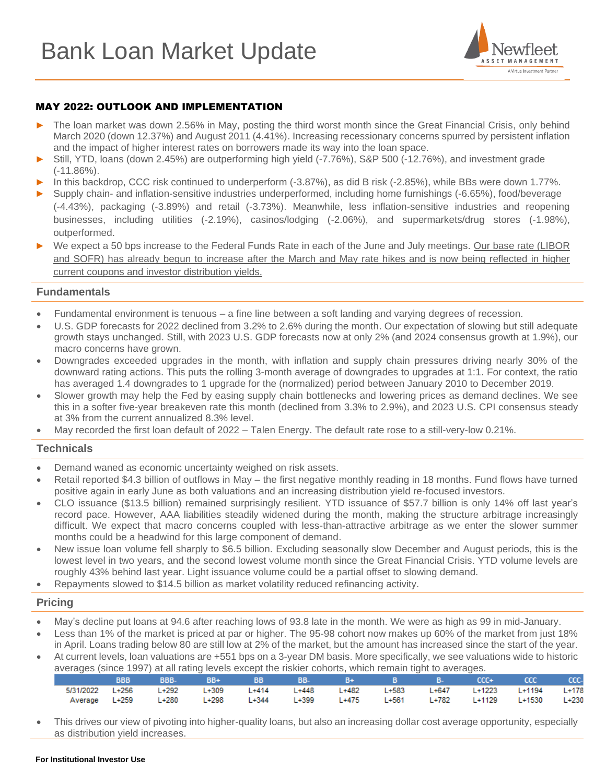

# MAY 2022: OUTLOOK AND IMPLEMENTATION

- The loan market was down 2.56% in May, posting the third worst month since the Great Financial Crisis, only behind March 2020 (down 12.37%) and August 2011 (4.41%). Increasing recessionary concerns spurred by persistent inflation and the impact of higher interest rates on borrowers made its way into the loan space.
- ► Still, YTD, loans (down 2.45%) are outperforming high yield (-7.76%), S&P 500 (-12.76%), and investment grade (-11.86%).
- In this backdrop, CCC risk continued to underperform (-3.87%), as did B risk (-2.85%), while BBs were down 1.77%.
- Supply chain- and inflation-sensitive industries underperformed, including home furnishings (-6.65%), food/beverage (-4.43%), packaging (-3.89%) and retail (-3.73%). Meanwhile, less inflation-sensitive industries and reopening businesses, including utilities (-2.19%), casinos/lodging (-2.06%), and supermarkets/drug stores (-1.98%), outperformed.
- ► We expect a 50 bps increase to the Federal Funds Rate in each of the June and July meetings. Our base rate (LIBOR and SOFR) has already begun to increase after the March and May rate hikes and is now being reflected in higher current coupons and investor distribution yields.

#### **Fundamentals**

- Fundamental environment is tenuous a fine line between a soft landing and varying degrees of recession.
- U.S. GDP forecasts for 2022 declined from 3.2% to 2.6% during the month. Our expectation of slowing but still adequate growth stays unchanged. Still, with 2023 U.S. GDP forecasts now at only 2% (and 2024 consensus growth at 1.9%), our macro concerns have grown.
- Downgrades exceeded upgrades in the month, with inflation and supply chain pressures driving nearly 30% of the downward rating actions. This puts the rolling 3-month average of downgrades to upgrades at 1:1. For context, the ratio has averaged 1.4 downgrades to 1 upgrade for the (normalized) period between January 2010 to December 2019.
- Slower growth may help the Fed by easing supply chain bottlenecks and lowering prices as demand declines. We see this in a softer five-year breakeven rate this month (declined from 3.3% to 2.9%), and 2023 U.S. CPI consensus steady at 3% from the current annualized 8.3% level.
- May recorded the first loan default of 2022 Talen Energy. The default rate rose to a still-very-low 0.21%.

## **Technicals**

- Demand waned as economic uncertainty weighed on risk assets.
- Retail reported \$4.3 billion of outflows in May the first negative monthly reading in 18 months. Fund flows have turned positive again in early June as both valuations and an increasing distribution yield re-focused investors.
- CLO issuance (\$13.5 billion) remained surprisingly resilient. YTD issuance of \$57.7 billion is only 14% off last year's record pace. However, AAA liabilities steadily widened during the month, making the structure arbitrage increasingly difficult. We expect that macro concerns coupled with less-than-attractive arbitrage as we enter the slower summer months could be a headwind for this large component of demand.
- New issue loan volume fell sharply to \$6.5 billion. Excluding seasonally slow December and August periods, this is the lowest level in two years, and the second lowest volume month since the Great Financial Crisis. YTD volume levels are roughly 43% behind last year. Light issuance volume could be a partial offset to slowing demand.
- Repayments slowed to \$14.5 billion as market volatility reduced refinancing activity.

#### **Pricing**

- May's decline put loans at 94.6 after reaching lows of 93.8 late in the month. We were as high as 99 in mid-January.
- Less than 1% of the market is priced at par or higher. The 95-98 cohort now makes up 60% of the market from just 18% in April. Loans trading below 80 are still low at 2% of the market, but the amount has increased since the start of the year.
- At current levels, loan valuations are +551 bps on a 3-year DM basis. More specifically, we see valuations wide to historic averages (since 1997) at all rating levels except the riskier cohorts, which remain tight to averages.

|  |  | BBB BBB- BB+ BB BB- B+ B B- CCC+ CCC CCC-                                     |  |  |  |  |  |  |  |  |  |
|--|--|-------------------------------------------------------------------------------|--|--|--|--|--|--|--|--|--|
|  |  | 5/31/2022 L+256 L+292 L+309 L+414 L+448 L+482 L+583 L+647 L+1223 L+1194 L+178 |  |  |  |  |  |  |  |  |  |
|  |  | Average L+259 L+280 L+298 L+344 L+399 L+475 L+561 L+782 L+1129 L+1530 L+230   |  |  |  |  |  |  |  |  |  |

• This drives our view of pivoting into higher-quality loans, but also an increasing dollar cost average opportunity, especially as distribution yield increases.